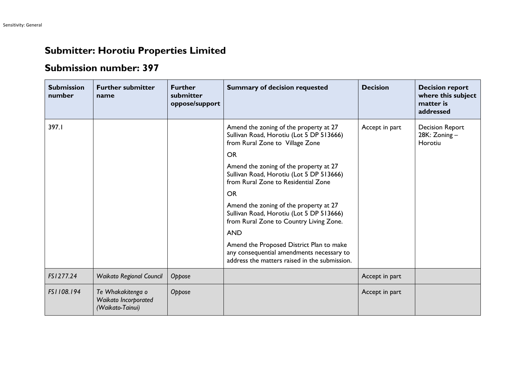## **Submitter: Horotiu Properties Limited**

## **Submission number: 397**

| <b>Submission</b><br>number | <b>Further submitter</b><br>name                              | <b>Further</b><br>submitter<br>oppose/support | <b>Summary of decision requested</b>                                                                                                   | <b>Decision</b> | <b>Decision report</b><br>where this subject<br>matter is<br>addressed |
|-----------------------------|---------------------------------------------------------------|-----------------------------------------------|----------------------------------------------------------------------------------------------------------------------------------------|-----------------|------------------------------------------------------------------------|
| 397.I                       |                                                               |                                               | Amend the zoning of the property at 27<br>Sullivan Road, Horotiu (Lot 5 DP 513666)<br>from Rural Zone to Village Zone                  | Accept in part  | <b>Decision Report</b><br>28K: Zoning-<br>Horotiu                      |
|                             |                                                               |                                               | <b>OR</b>                                                                                                                              |                 |                                                                        |
|                             |                                                               |                                               | Amend the zoning of the property at 27<br>Sullivan Road, Horotiu (Lot 5 DP 513666)<br>from Rural Zone to Residential Zone              |                 |                                                                        |
|                             |                                                               |                                               | <b>OR</b>                                                                                                                              |                 |                                                                        |
|                             |                                                               |                                               | Amend the zoning of the property at 27<br>Sullivan Road, Horotiu (Lot 5 DP 513666)<br>from Rural Zone to Country Living Zone.          |                 |                                                                        |
|                             |                                                               |                                               | <b>AND</b>                                                                                                                             |                 |                                                                        |
|                             |                                                               |                                               | Amend the Proposed District Plan to make<br>any consequential amendments necessary to<br>address the matters raised in the submission. |                 |                                                                        |
| FS1277.24                   | <b>Waikato Regional Council</b>                               | Oppose                                        |                                                                                                                                        | Accept in part  |                                                                        |
| FS1108.194                  | Te Whakakitenga o<br>Waikato Incorporated<br>(Waikato-Tainui) | Oppose                                        |                                                                                                                                        | Accept in part  |                                                                        |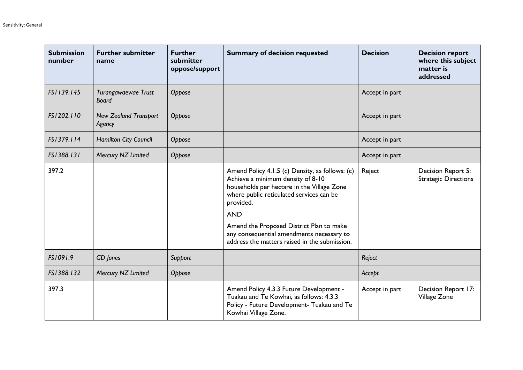| <b>Submission</b><br>number | <b>Further submitter</b><br>name       | <b>Further</b><br>submitter<br>oppose/support | <b>Summary of decision requested</b>                                                                                                                                                                                                                                                                                                                | <b>Decision</b> | <b>Decision report</b><br>where this subject<br>matter is<br>addressed |
|-----------------------------|----------------------------------------|-----------------------------------------------|-----------------------------------------------------------------------------------------------------------------------------------------------------------------------------------------------------------------------------------------------------------------------------------------------------------------------------------------------------|-----------------|------------------------------------------------------------------------|
| FS1139.145                  | Turangawaewae Trust<br><b>Board</b>    | Oppose                                        |                                                                                                                                                                                                                                                                                                                                                     | Accept in part  |                                                                        |
| FS1202.110                  | <b>New Zealand Transport</b><br>Agency | Oppose                                        |                                                                                                                                                                                                                                                                                                                                                     | Accept in part  |                                                                        |
| FS1379.114                  | <b>Hamilton City Council</b>           | Oppose                                        |                                                                                                                                                                                                                                                                                                                                                     | Accept in part  |                                                                        |
| FS1388.131                  | Mercury NZ Limited                     | Oppose                                        |                                                                                                                                                                                                                                                                                                                                                     | Accept in part  |                                                                        |
| 397.2                       |                                        |                                               | Amend Policy 4.1.5 (c) Density, as follows: (c)<br>Achieve a minimum density of 8-10<br>households per hectare in the Village Zone<br>where public reticulated services can be<br>provided.<br><b>AND</b><br>Amend the Proposed District Plan to make<br>any consequential amendments necessary to<br>address the matters raised in the submission. | Reject          | Decision Report 5:<br><b>Strategic Directions</b>                      |
| FS1091.9                    | GD Jones                               | Support                                       |                                                                                                                                                                                                                                                                                                                                                     | Reject          |                                                                        |
| FS1388.132                  | Mercury NZ Limited                     | Oppose                                        |                                                                                                                                                                                                                                                                                                                                                     | Accept          |                                                                        |
| 397.3                       |                                        |                                               | Amend Policy 4.3.3 Future Development -<br>Tuakau and Te Kowhai, as follows: 4.3.3<br>Policy - Future Development- Tuakau and Te<br>Kowhai Village Zone.                                                                                                                                                                                            | Accept in part  | Decision Report 17:<br>Village Zone                                    |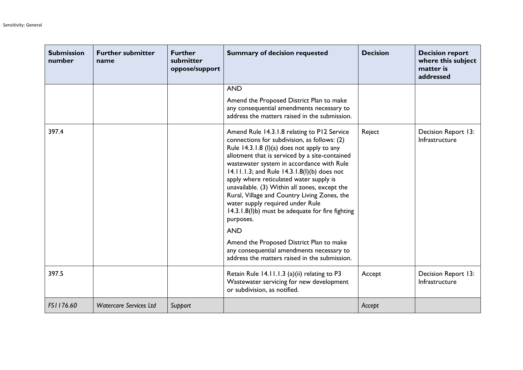| <b>Submission</b><br>number | <b>Further submitter</b><br>name | <b>Further</b><br>submitter<br>oppose/support | <b>Summary of decision requested</b>                                                                                                                                                                                                                                                                                                                                                                                                                                                                                                                                                                                                                                                             | <b>Decision</b> | <b>Decision report</b><br>where this subject<br>matter is<br>addressed |
|-----------------------------|----------------------------------|-----------------------------------------------|--------------------------------------------------------------------------------------------------------------------------------------------------------------------------------------------------------------------------------------------------------------------------------------------------------------------------------------------------------------------------------------------------------------------------------------------------------------------------------------------------------------------------------------------------------------------------------------------------------------------------------------------------------------------------------------------------|-----------------|------------------------------------------------------------------------|
|                             |                                  |                                               | <b>AND</b>                                                                                                                                                                                                                                                                                                                                                                                                                                                                                                                                                                                                                                                                                       |                 |                                                                        |
|                             |                                  |                                               | Amend the Proposed District Plan to make<br>any consequential amendments necessary to<br>address the matters raised in the submission.                                                                                                                                                                                                                                                                                                                                                                                                                                                                                                                                                           |                 |                                                                        |
| 397.4                       |                                  |                                               | Amend Rule 14.3.1.8 relating to P12 Service<br>connections for subdivision, as follows: (2)<br>Rule 14.3.1.8 (I)(a) does not apply to any<br>allotment that is serviced by a site-contained<br>wastewater system in accordance with Rule<br>14.11.1.3; and Rule 14.3.1.8(I)(b) does not<br>apply where reticulated water supply is<br>unavailable. (3) Within all zones, except the<br>Rural, Village and Country Living Zones, the<br>water supply required under Rule<br>14.3.1.8(I)b) must be adequate for fire fighting<br>purposes.<br><b>AND</b><br>Amend the Proposed District Plan to make<br>any consequential amendments necessary to<br>address the matters raised in the submission. | Reject          | Decision Report 13:<br>Infrastructure                                  |
| 397.5                       |                                  |                                               | Retain Rule 14.11.1.3 (a)(ii) relating to P3<br>Wastewater servicing for new development<br>or subdivision, as notified.                                                                                                                                                                                                                                                                                                                                                                                                                                                                                                                                                                         | Accept          | Decision Report 13:<br>Infrastructure                                  |
| FS1176.60                   | <b>Watercare Services Ltd</b>    | Support                                       |                                                                                                                                                                                                                                                                                                                                                                                                                                                                                                                                                                                                                                                                                                  | Accept          |                                                                        |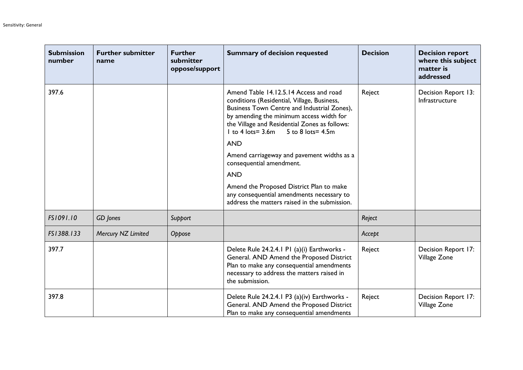| <b>Submission</b><br>number | <b>Further submitter</b><br>name | <b>Further</b><br>submitter<br>oppose/support | <b>Summary of decision requested</b>                                                                                                                                                                                                                                                             | <b>Decision</b> | <b>Decision report</b><br>where this subject<br>matter is<br>addressed |
|-----------------------------|----------------------------------|-----------------------------------------------|--------------------------------------------------------------------------------------------------------------------------------------------------------------------------------------------------------------------------------------------------------------------------------------------------|-----------------|------------------------------------------------------------------------|
| 397.6                       |                                  |                                               | Amend Table 14.12.5.14 Access and road<br>conditions (Residential, Village, Business,<br>Business Town Centre and Industrial Zones),<br>by amending the minimum access width for<br>the Village and Residential Zones as follows:<br>5 to 8 lots = 4.5m<br>$1$ to 4 lots = $3.6$ m<br><b>AND</b> | Reject          | Decision Report 13:<br>Infrastructure                                  |
|                             |                                  |                                               | Amend carriageway and pavement widths as a<br>consequential amendment.                                                                                                                                                                                                                           |                 |                                                                        |
|                             |                                  |                                               | <b>AND</b><br>Amend the Proposed District Plan to make<br>any consequential amendments necessary to<br>address the matters raised in the submission.                                                                                                                                             |                 |                                                                        |
| FS1091.10                   | GD Jones                         | Support                                       |                                                                                                                                                                                                                                                                                                  | Reject          |                                                                        |
| FS1388.133                  | Mercury NZ Limited               | Oppose                                        |                                                                                                                                                                                                                                                                                                  | Accept          |                                                                        |
| 397.7                       |                                  |                                               | Delete Rule 24.2.4.1 P1 (a)(i) Earthworks -<br>General. AND Amend the Proposed District<br>Plan to make any consequential amendments<br>necessary to address the matters raised in<br>the submission.                                                                                            | Reject          | Decision Report 17:<br>Village Zone                                    |
| 397.8                       |                                  |                                               | Delete Rule 24.2.4.1 P3 (a)(iv) Earthworks -<br>General. AND Amend the Proposed District<br>Plan to make any consequential amendments                                                                                                                                                            | Reject          | Decision Report 17:<br>Village Zone                                    |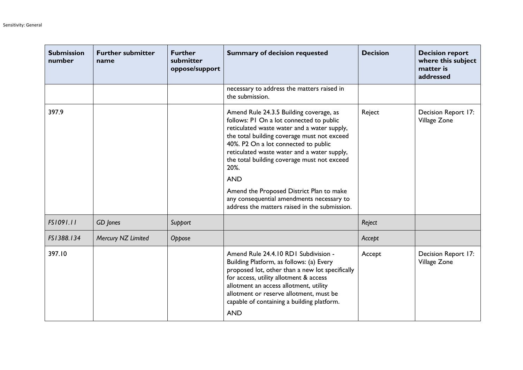| <b>Submission</b><br>number | <b>Further submitter</b><br>name | <b>Further</b><br>submitter<br>oppose/support | <b>Summary of decision requested</b>                                                                                                                                                                                                                                                                                                                                                                                                                                                    | <b>Decision</b> | <b>Decision report</b><br>where this subject<br>matter is<br>addressed |
|-----------------------------|----------------------------------|-----------------------------------------------|-----------------------------------------------------------------------------------------------------------------------------------------------------------------------------------------------------------------------------------------------------------------------------------------------------------------------------------------------------------------------------------------------------------------------------------------------------------------------------------------|-----------------|------------------------------------------------------------------------|
|                             |                                  |                                               | necessary to address the matters raised in<br>the submission.                                                                                                                                                                                                                                                                                                                                                                                                                           |                 |                                                                        |
| 397.9                       |                                  |                                               | Amend Rule 24.3.5 Building coverage, as<br>follows: PI On a lot connected to public<br>reticulated waste water and a water supply,<br>the total building coverage must not exceed<br>40%. P2 On a lot connected to public<br>reticulated waste water and a water supply,<br>the total building coverage must not exceed<br>20%.<br><b>AND</b><br>Amend the Proposed District Plan to make<br>any consequential amendments necessary to<br>address the matters raised in the submission. | Reject          | Decision Report 17:<br>Village Zone                                    |
| FS1091.11                   | GD Jones                         | Support                                       |                                                                                                                                                                                                                                                                                                                                                                                                                                                                                         | Reject          |                                                                        |
| FS1388.134                  | Mercury NZ Limited               | Oppose                                        |                                                                                                                                                                                                                                                                                                                                                                                                                                                                                         | Accept          |                                                                        |
| 397.10                      |                                  |                                               | Amend Rule 24.4.10 RD1 Subdivision -<br>Building Platform, as follows: (a) Every<br>proposed lot, other than a new lot specifically<br>for access, utility allotment & access<br>allotment an access allotment, utility<br>allotment or reserve allotment, must be<br>capable of containing a building platform.<br><b>AND</b>                                                                                                                                                          | Accept          | Decision Report 17:<br>Village Zone                                    |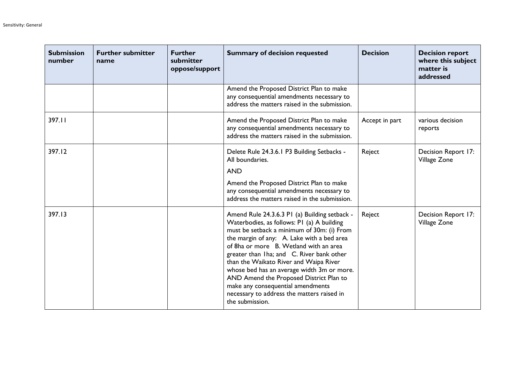| <b>Submission</b><br>number | <b>Further submitter</b><br>name | <b>Further</b><br>submitter<br>oppose/support | <b>Summary of decision requested</b>                                                                                                                                                                                                                                                                                                                                                                                                                                                                                    | <b>Decision</b> | <b>Decision report</b><br>where this subject<br>matter is<br>addressed |
|-----------------------------|----------------------------------|-----------------------------------------------|-------------------------------------------------------------------------------------------------------------------------------------------------------------------------------------------------------------------------------------------------------------------------------------------------------------------------------------------------------------------------------------------------------------------------------------------------------------------------------------------------------------------------|-----------------|------------------------------------------------------------------------|
|                             |                                  |                                               | Amend the Proposed District Plan to make<br>any consequential amendments necessary to<br>address the matters raised in the submission.                                                                                                                                                                                                                                                                                                                                                                                  |                 |                                                                        |
| 397.11                      |                                  |                                               | Amend the Proposed District Plan to make<br>any consequential amendments necessary to<br>address the matters raised in the submission.                                                                                                                                                                                                                                                                                                                                                                                  | Accept in part  | various decision<br>reports                                            |
| 397.12                      |                                  |                                               | Delete Rule 24.3.6.1 P3 Building Setbacks -<br>All boundaries.<br><b>AND</b><br>Amend the Proposed District Plan to make<br>any consequential amendments necessary to<br>address the matters raised in the submission.                                                                                                                                                                                                                                                                                                  | Reject          | Decision Report 17:<br>Village Zone                                    |
| 397.13                      |                                  |                                               | Amend Rule 24.3.6.3 PI (a) Building setback -<br>Waterbodies, as follows: PI (a) A building<br>must be setback a minimum of 30m: (i) From<br>the margin of any: A. Lake with a bed area<br>of 8ha or more B. Wetland with an area<br>greater than Iha; and C. River bank other<br>than the Waikato River and Waipa River<br>whose bed has an average width 3m or more.<br>AND Amend the Proposed District Plan to<br>make any consequential amendments<br>necessary to address the matters raised in<br>the submission. | Reject          | Decision Report 17:<br>Village Zone                                    |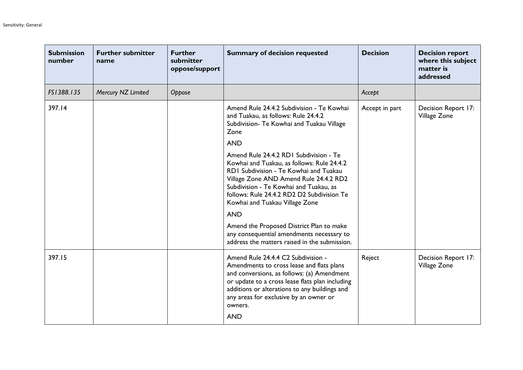| <b>Submission</b><br>number | <b>Further submitter</b><br>name | <b>Further</b><br>submitter<br>oppose/support | <b>Summary of decision requested</b>                                                                                                                                                                                                                                                                             | <b>Decision</b> | <b>Decision report</b><br>where this subject<br>matter is<br>addressed |
|-----------------------------|----------------------------------|-----------------------------------------------|------------------------------------------------------------------------------------------------------------------------------------------------------------------------------------------------------------------------------------------------------------------------------------------------------------------|-----------------|------------------------------------------------------------------------|
| FS1388.135                  | Mercury NZ Limited               | Oppose                                        |                                                                                                                                                                                                                                                                                                                  | Accept          |                                                                        |
| 397.14                      |                                  |                                               | Amend Rule 24.4.2 Subdivision - Te Kowhai<br>and Tuakau, as follows: Rule 24.4.2<br>Subdivision- Te Kowhai and Tuakau Village<br>Zone<br><b>AND</b>                                                                                                                                                              | Accept in part  | Decision Report 17:<br>Village Zone                                    |
|                             |                                  |                                               | Amend Rule 24.4.2 RDI Subdivision - Te<br>Kowhai and Tuakau, as follows: Rule 24.4.2<br>RDI Subdivision - Te Kowhai and Tuakau<br>Village Zone AND Amend Rule 24.4.2 RD2<br>Subdivision - Te Kowhai and Tuakau, as<br>follows: Rule 24.4.2 RD2 D2 Subdivision Te<br>Kowhai and Tuakau Village Zone<br><b>AND</b> |                 |                                                                        |
|                             |                                  |                                               | Amend the Proposed District Plan to make<br>any consequential amendments necessary to<br>address the matters raised in the submission.                                                                                                                                                                           |                 |                                                                        |
| 397.15                      |                                  |                                               | Amend Rule 24.4.4 C2 Subdivision -<br>Amendments to cross lease and flats plans<br>and conversions, as follows: (a) Amendment<br>or update to a cross lease flats plan including<br>additions or alterations to any buildings and<br>any areas for exclusive by an owner or<br>owners.<br><b>AND</b>             | Reject          | Decision Report 17:<br>Village Zone                                    |